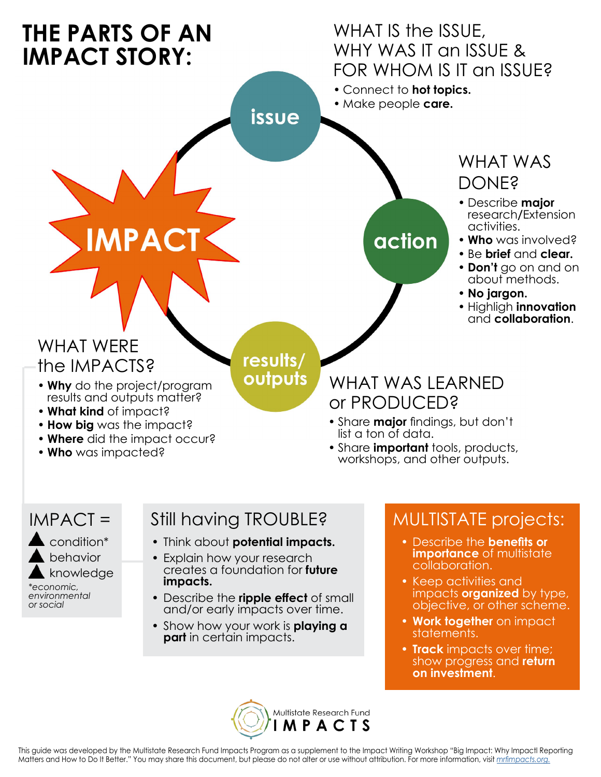

#### IMPACT =

condition\* behavior knowledge *\*economic, environmental or social*

## Still having TROUBLE?

- Think about **potential impacts.**
- Explain how your research creates a foundation for **future impacts.**
- Describe the **ripple effect** of small and/or early impacts over time.
- Show how your work is **playing a part** in certain impacts.

### MULTISTATE projects:

- Describe the **benefits or importance** of multistate collaboration.
- Keep activities and impacts **organized** by type, objective, or other scheme.
- **• Work together** on impact statements.
- **• Track** impacts over time; show progress and **return on investment**.